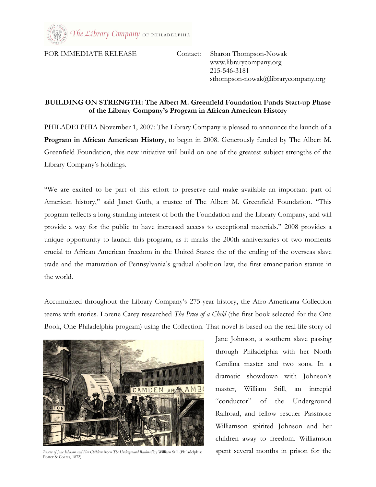

FOR IMMEDIATE RELEASE Contact: Sharon Thompson-Nowak

 www.librarycompany.org 215-546-3181 sthompson-nowak@librarycompany.org

## BUILDING ON STRENGTH: The Albert M. Greenfield Foundation Funds Start-up Phase of the Library Company's Program in African American History

PHILADELPHIA November 1, 2007: The Library Company is pleased to announce the launch of a Program in African American History, to begin in 2008. Generously funded by The Albert M. Greenfield Foundation, this new initiative will build on one of the greatest subject strengths of the Library Company's holdings.

"We are excited to be part of this effort to preserve and make available an important part of American history," said Janet Guth, a trustee of The Albert M. Greenfield Foundation. "This program reflects a long-standing interest of both the Foundation and the Library Company, and will provide a way for the public to have increased access to exceptional materials." 2008 provides a unique opportunity to launch this program, as it marks the 200th anniversaries of two moments crucial to African American freedom in the United States: the of the ending of the overseas slave trade and the maturation of Pennsylvania's gradual abolition law, the first emancipation statute in the world.

Accumulated throughout the Library Company's 275-year history, the Afro-Americana Collection teems with stories. Lorene Carey researched The Price of a Child (the first book selected for the One Book, One Philadelphia program) using the Collection. That novel is based on the real-life story of



Rescue of Jane Johnson and Her Children from The Underground Railroad by William Still (Philadelphia: spent several months in prison for the Porter & Coates, 1872).

Jane Johnson, a southern slave passing through Philadelphia with her North Carolina master and two sons. In a dramatic showdown with Johnson's master, William Still, an intrepid "conductor" of the Underground Railroad, and fellow rescuer Passmore Williamson spirited Johnson and her children away to freedom. Williamson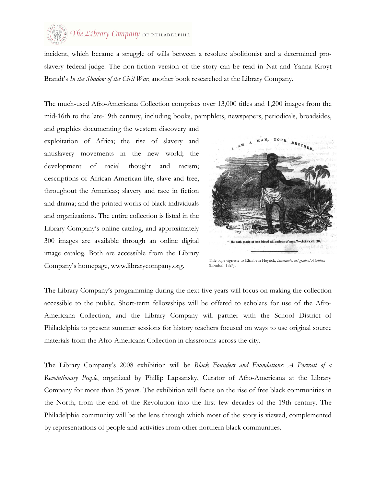

incident, which became a struggle of wills between a resolute abolitionist and a determined proslavery federal judge. The non-fiction version of the story can be read in Nat and Yanna Kroyt Brandt's In the Shadow of the Civil War, another book researched at the Library Company.

The much-used Afro-Americana Collection comprises over 13,000 titles and 1,200 images from the mid-16th to the late-19th century, including books, pamphlets, newspapers, periodicals, broadsides,

and graphics documenting the western discovery and exploitation of Africa; the rise of slavery and antislavery movements in the new world; the development of racial thought and racism; descriptions of African American life, slave and free, throughout the Americas; slavery and race in fiction and drama; and the printed works of black individuals and organizations. The entire collection is listed in the Library Company's online catalog, and approximately 300 images are available through an online digital image catalog. Both are accessible from the Library Company's homepage, www.librarycompany.org.



Title page vignette to Elizabeth Heyrick, Immediate, not gradual Abolition (London, 1824).

The Library Company's programming during the next five years will focus on making the collection accessible to the public. Short-term fellowships will be offered to scholars for use of the Afro-Americana Collection, and the Library Company will partner with the School District of Philadelphia to present summer sessions for history teachers focused on ways to use original source materials from the Afro-Americana Collection in classrooms across the city.

The Library Company's 2008 exhibition will be Black Founders and Foundations: A Portrait of a Revolutionary People, organized by Phillip Lapsansky, Curator of Afro-Americana at the Library Company for more than 35 years. The exhibition will focus on the rise of free black communities in the North, from the end of the Revolution into the first few decades of the 19th century. The Philadelphia community will be the lens through which most of the story is viewed, complemented by representations of people and activities from other northern black communities.